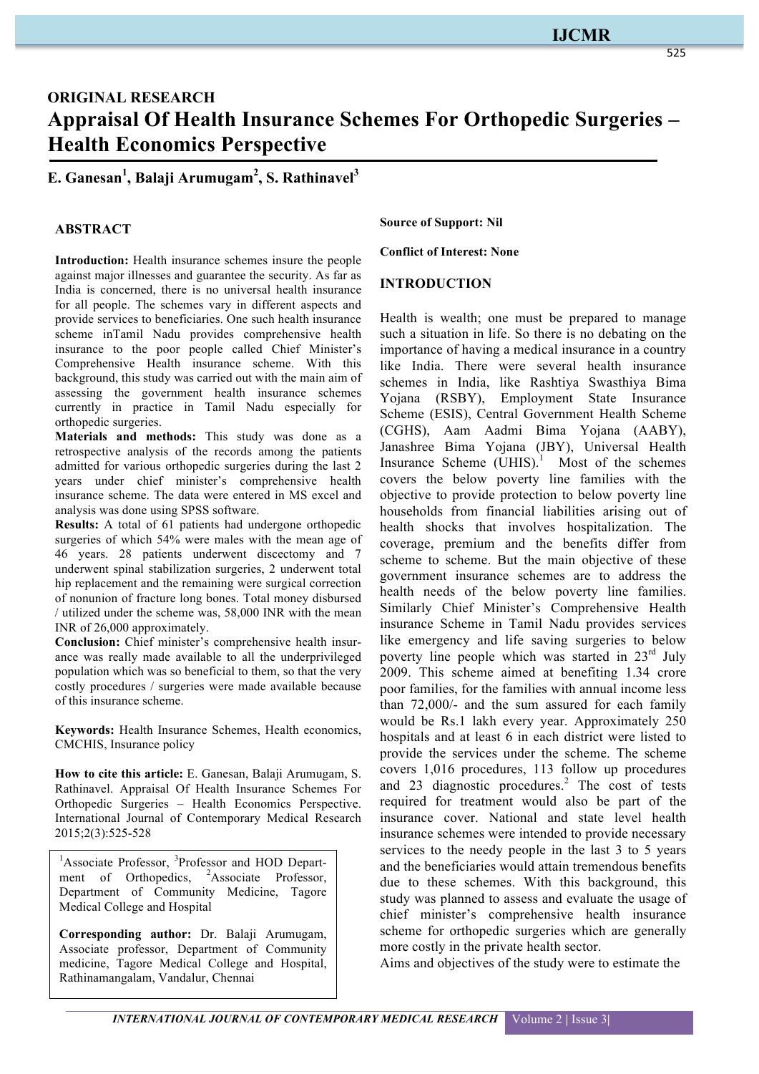## **IJCMR**

# **ORIGINAL RESEARCH Appraisal Of Health Insurance Schemes For Orthopedic Surgeries – Health Economics Perspective**

## **E. Ganesan<sup>1</sup> , Balaji Arumugam<sup>2</sup> , S. Rathinavel3**

#### **ABSTRACT**

**Introduction:** Health insurance schemes insure the people against major illnesses and guarantee the security. As far as India is concerned, there is no universal health insurance for all people. The schemes vary in different aspects and provide services to beneficiaries. One such health insurance scheme inTamil Nadu provides comprehensive health insurance to the poor people called Chief Minister's Comprehensive Health insurance scheme. With this background, this study was carried out with the main aim of assessing the government health insurance schemes currently in practice in Tamil Nadu especially for orthopedic surgeries.

**Materials and methods:** This study was done as a retrospective analysis of the records among the patients admitted for various orthopedic surgeries during the last 2 years under chief minister's comprehensive health insurance scheme. The data were entered in MS excel and analysis was done using SPSS software.

**Results:** A total of 61 patients had undergone orthopedic surgeries of which 54% were males with the mean age of 46 years. 28 patients underwent discectomy and 7 underwent spinal stabilization surgeries, 2 underwent total hip replacement and the remaining were surgical correction of nonunion of fracture long bones. Total money disbursed / utilized under the scheme was, 58,000 INR with the mean INR of 26,000 approximately.

**Conclusion:** Chief minister's comprehensive health insurance was really made available to all the underprivileged population which was so beneficial to them, so that the very costly procedures / surgeries were made available because of this insurance scheme.

**Keywords:** Health Insurance Schemes, Health economics, CMCHIS, Insurance policy

**How to cite this article:** E. Ganesan, Balaji Arumugam, S. Rathinavel. Appraisal Of Health Insurance Schemes For Orthopedic Surgeries – Health Economics Perspective. International Journal of Contemporary Medical Research 2015;2(3):525-528

<sup>1</sup>Associate Professor, <sup>3</sup>Professor and HOD Department of Orthopedics, <sup>2</sup>Associate Professor, Department of Community Medicine, Tagore Medical College and Hospital

**Corresponding author:** Dr. Balaji Arumugam, Associate professor, Department of Community medicine, Tagore Medical College and Hospital, Rathinamangalam, Vandalur, Chennai

**Source of Support: Nil**

**Conflict of Interest: None**

#### **INTRODUCTION**

Health is wealth; one must be prepared to manage such a situation in life. So there is no debating on the importance of having a medical insurance in a country like India. There were several health insurance schemes in India, like Rashtiya Swasthiya Bima Yojana (RSBY), Employment State Insurance Scheme (ESIS), Central Government Health Scheme (CGHS), Aam Aadmi Bima Yojana (AABY), Janashree Bima Yojana (JBY), Universal Health Insurance Scheme (UHIS).<sup>1</sup> Most of the schemes covers the below poverty line families with the objective to provide protection to below poverty line households from financial liabilities arising out of health shocks that involves hospitalization. The coverage, premium and the benefits differ from scheme to scheme. But the main objective of these government insurance schemes are to address the health needs of the below poverty line families. Similarly Chief Minister's Comprehensive Health insurance Scheme in Tamil Nadu provides services like emergency and life saving surgeries to below poverty line people which was started in  $23<sup>rd</sup>$  July 2009. This scheme aimed at benefiting 1.34 crore poor families, for the families with annual income less than 72,000/- and the sum assured for each family would be Rs.1 lakh every year. Approximately 250 hospitals and at least 6 in each district were listed to provide the services under the scheme. The scheme covers 1,016 procedures, 113 follow up procedures and 23 diagnostic procedures.<sup>2</sup> The cost of tests required for treatment would also be part of the insurance cover. National and state level health insurance schemes were intended to provide necessary services to the needy people in the last 3 to 5 years and the beneficiaries would attain tremendous benefits due to these schemes. With this background, this study was planned to assess and evaluate the usage of chief minister's comprehensive health insurance scheme for orthopedic surgeries which are generally more costly in the private health sector.

Aims and objectives of the study were to estimate the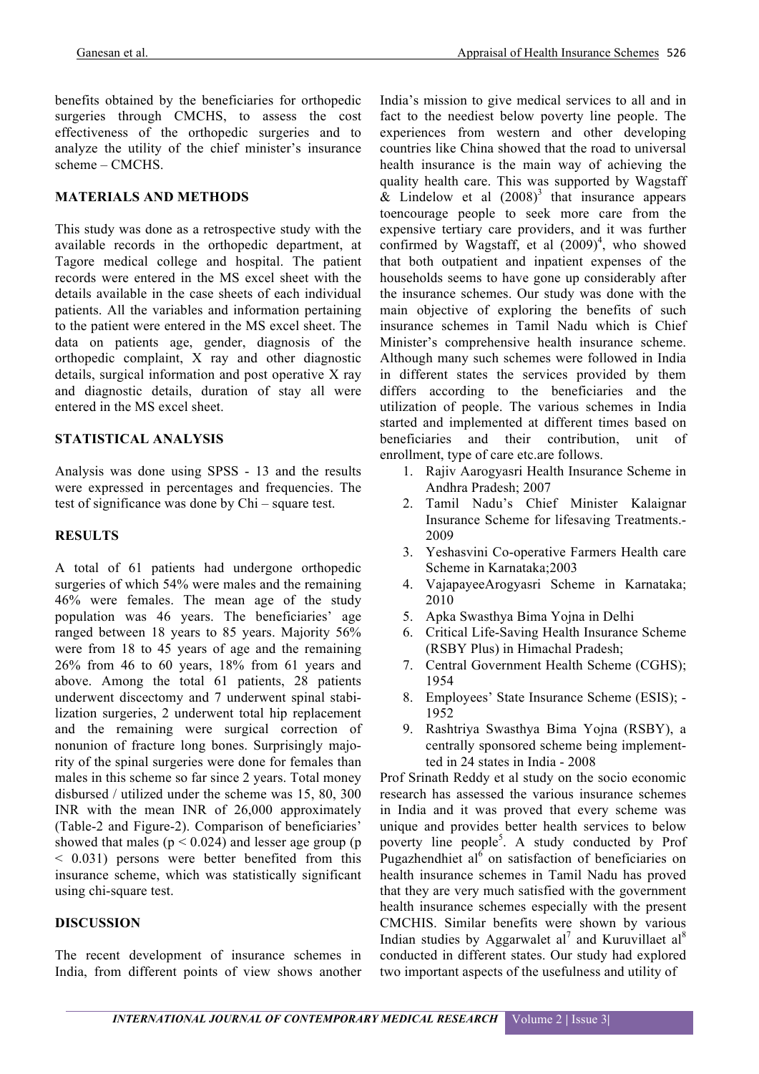benefits obtained by the beneficiaries for orthopedic surgeries through CMCHS, to assess the cost effectiveness of the orthopedic surgeries and to analyze the utility of the chief minister's insurance scheme – CMCHS.

### **MATERIALS AND METHODS**

This study was done as a retrospective study with the available records in the orthopedic department, at Tagore medical college and hospital. The patient records were entered in the MS excel sheet with the details available in the case sheets of each individual patients. All the variables and information pertaining to the patient were entered in the MS excel sheet. The data on patients age, gender, diagnosis of the orthopedic complaint, X ray and other diagnostic details, surgical information and post operative X ray and diagnostic details, duration of stay all were entered in the MS excel sheet.

#### **STATISTICAL ANALYSIS**

Analysis was done using SPSS - 13 and the results were expressed in percentages and frequencies. The test of significance was done by Chi – square test.

#### **RESULTS**

A total of 61 patients had undergone orthopedic surgeries of which 54% were males and the remaining 46% were females. The mean age of the study population was 46 years. The beneficiaries' age ranged between 18 years to 85 years. Majority 56% were from 18 to 45 years of age and the remaining 26% from 46 to 60 years, 18% from 61 years and above. Among the total 61 patients, 28 patients underwent discectomy and 7 underwent spinal stabilization surgeries, 2 underwent total hip replacement and the remaining were surgical correction of nonunion of fracture long bones. Surprisingly majority of the spinal surgeries were done for females than males in this scheme so far since 2 years. Total money disbursed / utilized under the scheme was 15, 80, 300 INR with the mean INR of 26,000 approximately (Table-2 and Figure-2). Comparison of beneficiaries' showed that males ( $p < 0.024$ ) and lesser age group ( $p$ < 0.031) persons were better benefited from this insurance scheme, which was statistically significant using chi-square test.

#### **DISCUSSION**

The recent development of insurance schemes in India, from different points of view shows another India's mission to give medical services to all and in fact to the neediest below poverty line people. The experiences from western and other developing countries like China showed that the road to universal health insurance is the main way of achieving the quality health care. This was supported by Wagstaff & Lindelow et al  $(2008)^3$  that insurance appears toencourage people to seek more care from the expensive tertiary care providers, and it was further confirmed by Wagstaff, et al  $(2009)^4$ , who showed that both outpatient and inpatient expenses of the households seems to have gone up considerably after the insurance schemes. Our study was done with the main objective of exploring the benefits of such insurance schemes in Tamil Nadu which is Chief Minister's comprehensive health insurance scheme. Although many such schemes were followed in India in different states the services provided by them differs according to the beneficiaries and the utilization of people. The various schemes in India started and implemented at different times based on beneficiaries and their contribution, unit of enrollment, type of care etc.are follows.

- 1. Rajiv Aarogyasri Health Insurance Scheme in Andhra Pradesh; 2007
- 2. Tamil Nadu's Chief Minister Kalaignar Insurance Scheme for lifesaving Treatments.- 2009
- 3. Yeshasvini Co-operative Farmers Health care Scheme in Karnataka;2003
- 4. VajapayeeArogyasri Scheme in Karnataka; 2010
- 5. Apka Swasthya Bima Yojna in Delhi
- 6. Critical Life-Saving Health Insurance Scheme (RSBY Plus) in Himachal Pradesh;
- 7. Central Government Health Scheme (CGHS); 1954
- 8. Employees' State Insurance Scheme (ESIS); 1952
- 9. Rashtriya Swasthya Bima Yojna (RSBY), a centrally sponsored scheme being implementted in 24 states in India - 2008

Prof Srinath Reddy et al study on the socio economic research has assessed the various insurance schemes in India and it was proved that every scheme was unique and provides better health services to below poverty line people<sup>5</sup>. A study conducted by Prof Pugazhendhiet  $a^{6}$  on satisfaction of beneficiaries on health insurance schemes in Tamil Nadu has proved that they are very much satisfied with the government health insurance schemes especially with the present CMCHIS. Similar benefits were shown by various Indian studies by Aggarwalet al<sup>7</sup> and Kuruvillaet al<sup>8</sup> conducted in different states. Our study had explored two important aspects of the usefulness and utility of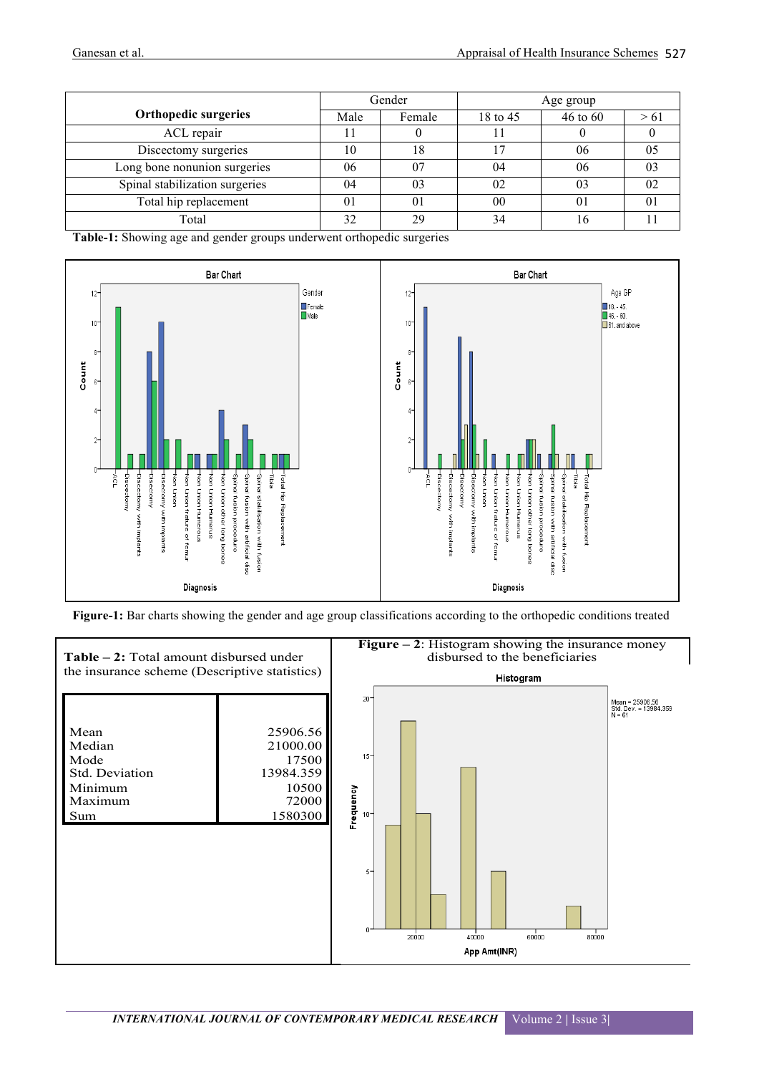|                                | Gender |        | Age group      |          |           |
|--------------------------------|--------|--------|----------------|----------|-----------|
| <b>Orthopedic surgeries</b>    | Male   | Female | 18 to 45       | 46 to 60 | $\geq 61$ |
| ACL repair                     |        |        |                |          |           |
| Discectomy surgeries           | 10     | 18     |                | 06       |           |
| Long bone nonunion surgeries   | 06     | 07     | 04             | 06       |           |
| Spinal stabilization surgeries | 04     | 03     | 02             | 03       |           |
| Total hip replacement          | 01     | 01     | 0 <sup>0</sup> | $\theta$ | $\Omega$  |
| Total                          | 32     | 29     | 34             | 16       |           |

**Table-1:** Showing age and gender groups underwent orthopedic surgeries